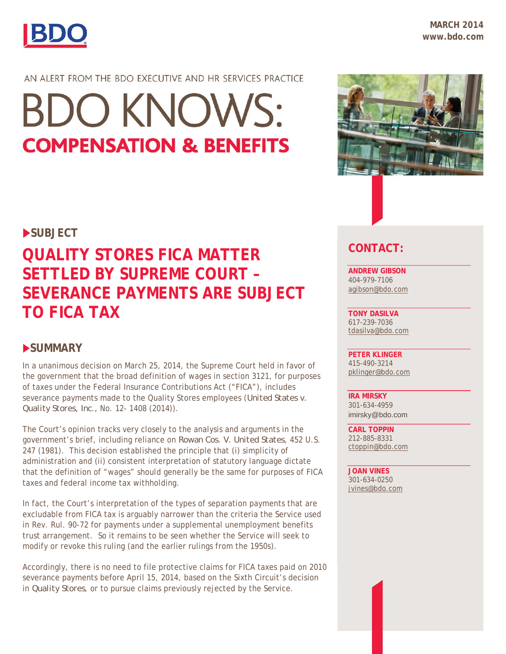

**MARCH 2014 www.bdo.com**

AN ALERT FROM THE BDO EXECUTIVE AND HR SERVICES PRACTICE

# **BDO KNOWS: COMPENSATION & BENEFITS**

#### **SUBJECT**

## **QUALITY STORES FICA MATTER SETTLED BY SUPREME COURT – SEVERANCE PAYMENTS ARE SUBJECT TO FICA TAX**

#### **SUMMARY**

In a unanimous decision on March 25, 2014, the Supreme Court held in favor of the government that the broad definition of wages in section 3121, for purposes of taxes under the Federal Insurance Contributions Act ("FICA"), includes severance payments made to the Quality Stores employees (*United States v. Quality Stores, Inc.,* No. 12- 1408 (2014)).

The Court's opinion tracks very closely to the analysis and arguments in the government's brief, including reliance on *Rowan Cos. V. United States*, 452 U.S. 247 (1981). This decision established the principle that (i) simplicity of administration and (ii) consistent interpretation of statutory language dictate that the definition of "wages" should generally be the same for purposes of FICA taxes and federal income tax withholding.

In fact, the Court's interpretation of the types of separation payments that are excludable from FICA tax is arguably narrower than the criteria the Service used in Rev. Rul. 90-72 for payments under a supplemental unemployment benefits trust arrangement. So it remains to be seen whether the Service will seek to modify or revoke this ruling (and the earlier rulings from the 1950s).

Accordingly, there is no need to file protective claims for FICA taxes paid on 2010 severance payments before April 15, 2014, based on the Sixth Circuit's decision in *Quality Stores*, or to pursue claims previously rejected by the Service.



### **CONTACT:**

**ANDREW GIBSON**  404-979-7106 agibson@bdo.com

**TONY DASILVA**  617-239-7036 tdasilva@bdo.com

**PETER KLINGER**  415-490-3214 pklinger@bdo.com

**IRA MIRSKY** 301-634-4959 imirsky@bdo.com

**CARL TOPPIN**  212-885-8331 ctoppin@bdo.com

**JOAN VINES**  301-634-0250 jvines@bdo.com